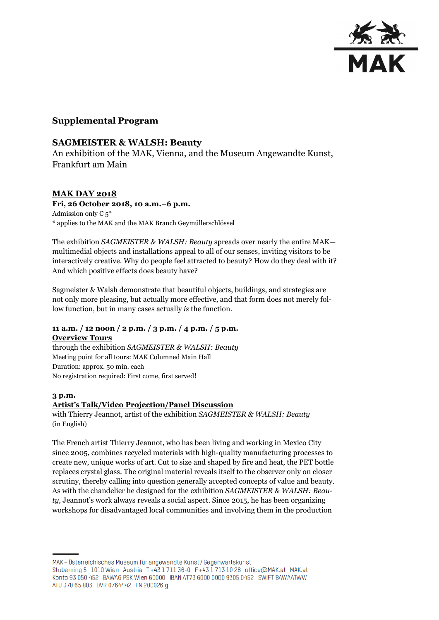

# **Supplemental Program**

### **SAGMEISTER & WALSH: Beauty**

An exhibition of the MAK, Vienna, and the Museum Angewandte Kunst, Frankfurt am Main

### **MAK DAY 2018**

**Fri, 26 October 2018, 10 a.m.–6 p.m.** Admission only  $\epsilon_5^*$ \* applies to the MAK and the MAK Branch Geymüllerschlössel

The exhibition *SAGMEISTER & WALSH: Beauty* spreads over nearly the entire MAK multimedial objects and installations appeal to all of our senses, inviting visitors to be interactively creative. Why do people feel attracted to beauty? How do they deal with it? And which positive effects does beauty have?

Sagmeister & Walsh demonstrate that beautiful objects, buildings, and strategies are not only more pleasing, but actually more effective, and that form does not merely follow function, but in many cases actually *is* the function.

### **11 a.m. / 12 noon / 2 p.m. / 3 p.m. / 4 p.m. / 5 p.m. Overview Tours**

through the exhibition *SAGMEISTER & WALSH: Beauty* Meeting point for all tours: MAK Columned Main Hall Duration: approx. 50 min. each No registration required: First come, first served!

#### **3 p.m.**

#### **Artist's Talk/Video Projection/Panel Discussion**

with Thierry Jeannot, artist of the exhibition *SAGMEISTER & WALSH: Beauty* (in English)

The French artist Thierry Jeannot, who has been living and working in Mexico City since 2005, combines recycled materials with high-quality manufacturing processes to create new, unique works of art. Cut to size and shaped by fire and heat, the PET bottle replaces crystal glass. The original material reveals itself to the observer only on closer scrutiny, thereby calling into question generally accepted concepts of value and beauty. As with the chandelier he designed for the exhibition *SAGMEISTER & WALSH: Beauty*, Jeannot's work always reveals a social aspect. Since 2015, he has been organizing workshops for disadvantaged local communities and involving them in the production

MAK – Österreichisches Museum für angewandte Kunst/Gegenwartskunst Stubenring 5 1010 Wien Austria T+43 1711 36-0 F+43 1713 10 26 office@MAK.at MAK.at Konto 93 050 452 BAWAG PSK Wien 60000 IBAN AT73 6000 0000 9305 0452 SWIFT BAWAATWW ATU 370 65 803 DVR 0764442 FN 200026 g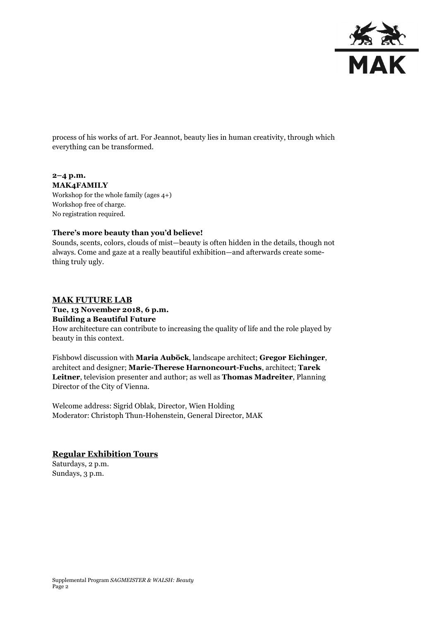

process of his works of art. For Jeannot, beauty lies in human creativity, through which everything can be transformed.

#### **2–4 p.m. MAK4FAMILY**

Workshop for the whole family (ages 4+) Workshop free of charge. No registration required.

### **There's more beauty than you'd believe!**

Sounds, scents, colors, clouds of mist—beauty is often hidden in the details, though not always. Come and gaze at a really beautiful exhibition—and afterwards create something truly ugly.

# **MAK FUTURE LAB**

#### **Tue, 13 November 2018, 6 p.m.**

#### **Building a Beautiful Future**

How architecture can contribute to increasing the quality of life and the role played by beauty in this context.

Fishbowl discussion with **Maria Auböck**, landscape architect; **Gregor Eichinger**, architect and designer; **Marie-Therese Harnoncourt-Fuchs**, architect; **Tarek Leitner**, television presenter and author; as well as **Thomas Madreiter**, Planning Director of the City of Vienna.

Welcome address: Sigrid Oblak, Director, Wien Holding Moderator: Christoph Thun-Hohenstein, General Director, MAK

### **Regular Exhibition Tours**

Saturdays, 2 p.m. Sundays, 3 p.m.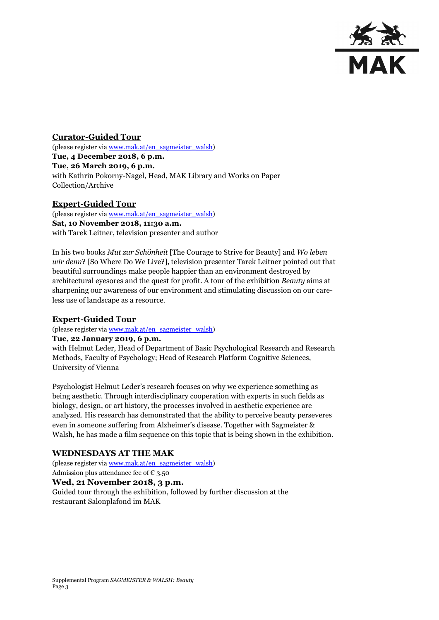

**Curator-Guided Tour** (please register vi[a www.mak.at/en\\_sagmeister\\_walsh\)](http://www.mak.at/en_sagmeister_walsh) **Tue, 4 December 2018, 6 p.m. Tue, 26 March 2019, 6 p.m.** with Kathrin Pokorny-Nagel, Head, MAK Library and Works on Paper Collection/Archive

### **Expert-Guided Tour**

(please register vi[a www.mak.at/en\\_sagmeister\\_walsh\)](http://www.mak.at/en_sagmeister_walsh) **Sat, 10 November 2018, 11:30 a.m.** with Tarek Leitner, television presenter and author

In his two books *Mut zur Schönheit* [The Courage to Strive for Beauty] and *Wo leben wir denn*? [So Where Do We Live?], television presenter Tarek Leitner pointed out that beautiful surroundings make people happier than an environment destroyed by architectural eyesores and the quest for profit. A tour of the exhibition *Beauty* aims at sharpening our awareness of our environment and stimulating discussion on our careless use of landscape as a resource.

### **Expert-Guided Tour**

(please register vi[a www.mak.at/en\\_sagmeister\\_walsh\)](http://www.mak.at/en_sagmeister_walsh)

#### **Tue, 22 January 2019, 6 p.m.**

with Helmut Leder, Head of Department of Basic Psychological Research and Research Methods, Faculty of Psychology; Head of Research Platform Cognitive Sciences, University of Vienna

Psychologist Helmut Leder's research focuses on why we experience something as being aesthetic. Through interdisciplinary cooperation with experts in such fields as biology, design, or art history, the processes involved in aesthetic experience are analyzed. His research has demonstrated that the ability to perceive beauty perseveres even in someone suffering from Alzheimer's disease. Together with Sagmeister & Walsh, he has made a film sequence on this topic that is being shown in the exhibition.

#### **WEDNESDAYS AT THE MAK**

(please register vi[a www.mak.at/en\\_sagmeister\\_walsh\)](http://www.mak.at/en_sagmeister_walsh) Admission plus attendance fee of  $\epsilon$  3.50 **Wed, 21 November 2018, 3 p.m.** Guided tour through the exhibition, followed by further discussion at the restaurant Salonplafond im MAK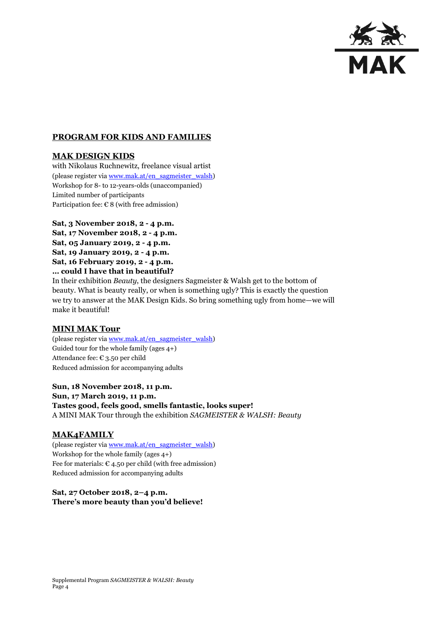

### **PROGRAM FOR KIDS AND FAMILIES**

### **MAK DESIGN KIDS**

with Nikolaus Ruchnewitz, freelance visual artist (please register vi[a www.mak.at/en\\_sagmeister\\_walsh\)](http://www.mak.at/en_sagmeister_walsh) Workshop for 8- to 12-years-olds (unaccompanied) Limited number of participants Participation fee:  $\epsilon$  8 (with free admission)

**Sat, 3 November 2018, 2 - 4 p.m. Sat, 17 November 2018, 2 - 4 p.m. Sat, 05 January 2019, 2 - 4 p.m. Sat, 19 January 2019, 2 - 4 p.m. Sat, 16 February 2019, 2 - 4 p.m. … could I have that in beautiful?**

In their exhibition *Beauty*, the designers Sagmeister & Walsh get to the bottom of beauty. What is beauty really, or when is something ugly? This is exactly the question we try to answer at the MAK Design Kids. So bring something ugly from home—we will make it beautiful!

#### **MINI MAK Tour**

(please register vi[a www.mak.at/en\\_sagmeister\\_walsh\)](http://www.mak.at/en_sagmeister_walsh) Guided tour for the whole family (ages 4+) Attendance fee: € 3.50 per child Reduced admission for accompanying adults

**Sun, 18 November 2018, 11 p.m. Sun, 17 March 2019, 11 p.m. Tastes good, feels good, smells fantastic, looks super!** A MINI MAK Tour through the exhibition *SAGMEISTER & WALSH: Beauty*

#### **MAK4FAMILY**

(please register vi[a www.mak.at/en\\_sagmeister\\_walsh\)](http://www.mak.at/en_sagmeister_walsh) Workshop for the whole family (ages 4+) Fee for materials:  $\epsilon$  4.50 per child (with free admission) Reduced admission for accompanying adults

### **Sat, 27 October 2018, 2–4 p.m. There's more beauty than you'd believe!**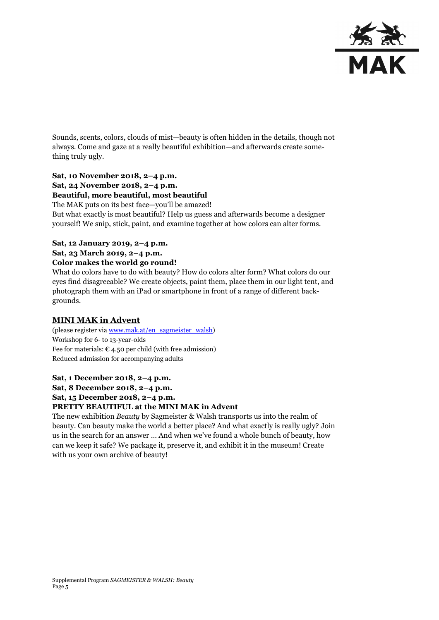

Sounds, scents, colors, clouds of mist—beauty is often hidden in the details, though not always. Come and gaze at a really beautiful exhibition—and afterwards create something truly ugly.

### **Sat, 10 November 2018, 2–4 p.m. Sat, 24 November 2018, 2–4 p.m. Beautiful, more beautiful, most beautiful**

The MAK puts on its best face—you'll be amazed!

But what exactly is most beautiful? Help us guess and afterwards become a designer yourself! We snip, stick, paint, and examine together at how colors can alter forms.

### **Sat, 12 January 2019, 2–4 p.m.**

### **Sat, 23 March 2019, 2–4 p.m.**

#### **Color makes the world go round!**

What do colors have to do with beauty? How do colors alter form? What colors do our eyes find disagreeable? We create objects, paint them, place them in our light tent, and photograph them with an iPad or smartphone in front of a range of different backgrounds.

# **MINI MAK in Advent**

(please register vi[a www.mak.at/en\\_sagmeister\\_walsh\)](http://www.mak.at/en_sagmeister_walsh) Workshop for 6- to 13-year-olds Fee for materials:  $\epsilon$  4.50 per child (with free admission) Reduced admission for accompanying adults

# **Sat, 1 December 2018, 2–4 p.m. Sat, 8 December 2018, 2–4 p.m.**

**Sat, 15 December 2018, 2–4 p.m.**

### **PRETTY BEAUTIFUL at the MINI MAK in Advent**

The new exhibition *Beauty* by Sagmeister & Walsh transports us into the realm of beauty. Can beauty make the world a better place? And what exactly is really ugly? Join us in the search for an answer … And when we've found a whole bunch of beauty, how can we keep it safe? We package it, preserve it, and exhibit it in the museum! Create with us your own archive of beauty!